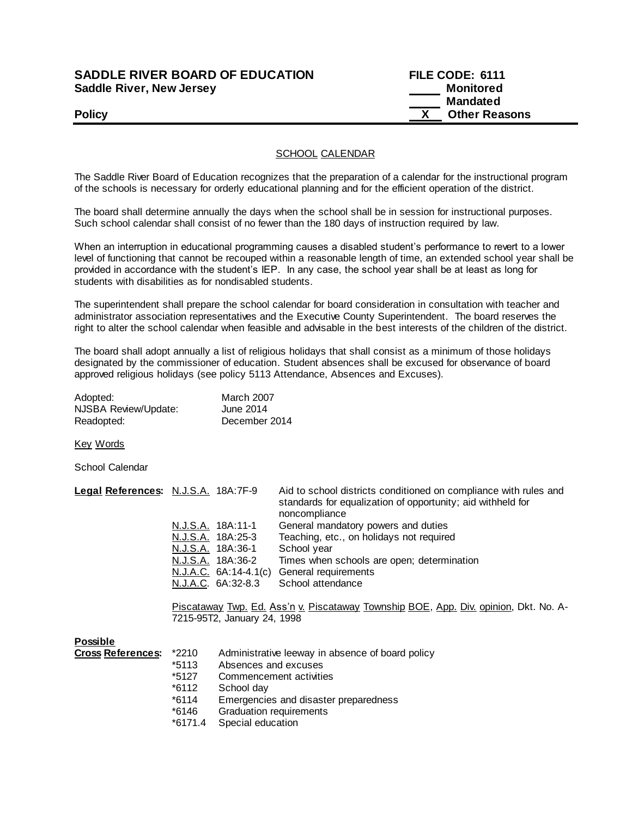### **SADDLE RIVER BOARD OF EDUCATION FILE CODE: 6111 Saddle River, New Jersey Monitored Example 2018 19 No. 2018 19:30 Monitored**

# **Mandated Policy X Other Reasons**

#### SCHOOL CALENDAR

The Saddle River Board of Education recognizes that the preparation of a calendar for the instructional program of the schools is necessary for orderly educational planning and for the efficient operation of the district.

The board shall determine annually the days when the school shall be in session for instructional purposes. Such school calendar shall consist of no fewer than the 180 days of instruction required by law.

When an interruption in educational programming causes a disabled student's performance to revert to a lower level of functioning that cannot be recouped within a reasonable length of time, an extended school year shall be provided in accordance with the student's IEP. In any case, the school year shall be at least as long for students with disabilities as for nondisabled students.

The superintendent shall prepare the school calendar for board consideration in consultation with teacher and administrator association representatives and the Executive County Superintendent. The board reserves the right to alter the school calendar when feasible and advisable in the best interests of the children of the district.

The board shall adopt annually a list of religious holidays that shall consist as a minimum of those holidays designated by the commissioner of education. Student absences shall be excused for observance of board approved religious holidays (see policy 5113 Attendance, Absences and Excuses).

| Adopted:             | <b>March 2007</b> |
|----------------------|-------------------|
| NJSBA Review/Update: | June 2014         |
| Readopted:           | December 2014     |

Key Words

School Calendar

| Legal References: N.J.S.A. 18A:7F-9 |                       | Aid to school districts conditioned on compliance with rules and<br>standards for equalization of opportunity; aid withheld for<br>noncompliance |
|-------------------------------------|-----------------------|--------------------------------------------------------------------------------------------------------------------------------------------------|
|                                     | N.J.S.A. 18A:11-1     | General mandatory powers and duties                                                                                                              |
|                                     | N.J.S.A. 18A:25-3     | Teaching, etc., on holidays not required                                                                                                         |
|                                     | N.J.S.A. 18A:36-1     | School year                                                                                                                                      |
|                                     | N.J.S.A. 18A:36-2     | Times when schools are open; determination                                                                                                       |
|                                     | N.J.A.C. 6A:14-4.1(c) | General requirements                                                                                                                             |
|                                     | N.J.A.C. 6A:32-8.3    | School attendance                                                                                                                                |

Piscataway Twp. Ed. Ass'n v. Piscataway Township BOE, App. Div. opinion, Dkt. No. A-7215-95T2, January 24, 1998

#### **Possible**

| <b>Cross References:</b> | *2210   | Administrative leeway in absence of board policy |
|--------------------------|---------|--------------------------------------------------|
|                          | *5113   | Absences and excuses                             |
|                          | *5127   | Commencement activities                          |
|                          | *6112   | School day                                       |
|                          | $*6114$ | Emergencies and disaster preparedness            |
|                          | *6146   | Graduation requirements                          |
|                          |         | $\sim$ $\sim$ $\sim$ $\sim$                      |

\*6171.4 Special education